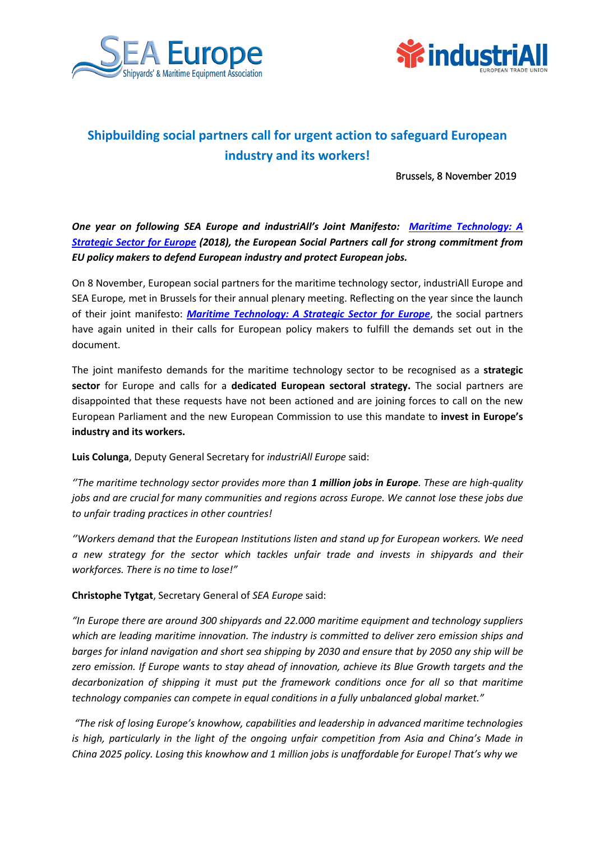



## **Shipbuilding social partners call for urgent action to safeguard European industry and its workers!**

Brussels, 8 November 2019

*One year on following SEA Europe and industriAll's Joint Manifesto: [Maritime Technology: A](https://news.industriall-europe.eu/content/documents/upload/2018/10/636749362452714412_Sea%20Europe%20IE%20Strategicpaper%20V%202.1%20EHSB%20CT%20-%20Clean.pdf)  [Strategic Sector for Europe](https://news.industriall-europe.eu/content/documents/upload/2018/10/636749362452714412_Sea%20Europe%20IE%20Strategicpaper%20V%202.1%20EHSB%20CT%20-%20Clean.pdf) (2018), the European Social Partners call for strong commitment from EU policy makers to defend European industry and protect European jobs.* 

On 8 November, European social partners for the maritime technology sector, industriAll Europe and SEA Europe*,* met in Brussels for their annual plenary meeting. Reflecting on the year since the launch of their joint manifesto: *[Maritime Technology: A Strategic Sector for Europe](https://news.industriall-europe.eu/content/documents/upload/2018/10/636749362452714412_Sea%20Europe%20IE%20Strategicpaper%20V%202.1%20EHSB%20CT%20-%20Clean.pdf)*, the social partners have again united in their calls for European policy makers to fulfill the demands set out in the document.

The joint manifesto demands for the maritime technology sector to be recognised as a **strategic sector** for Europe and calls for a **dedicated European sectoral strategy.** The social partners are disappointed that these requests have not been actioned and are joining forces to call on the new European Parliament and the new European Commission to use this mandate to **invest in Europe's industry and its workers.** 

**Luis Colunga**, Deputy General Secretary for *industriAll Europe* said:

*''The maritime technology sector provides more than 1 million jobs in Europe. These are high-quality jobs and are crucial for many communities and regions across Europe. We cannot lose these jobs due to unfair trading practices in other countries!* 

*''Workers demand that the European Institutions listen and stand up for European workers. We need a new strategy for the sector which tackles unfair trade and invests in shipyards and their workforces. There is no time to lose!"*

**Christophe Tytgat**, Secretary General of *SEA Europe* said:

*"In Europe there are around 300 shipyards and 22.000 maritime equipment and technology suppliers which are leading maritime innovation. The industry is committed to deliver zero emission ships and barges for inland navigation and short sea shipping by 2030 and ensure that by 2050 any ship will be zero emission. If Europe wants to stay ahead of innovation, achieve its Blue Growth targets and the decarbonization of shipping it must put the framework conditions once for all so that maritime technology companies can compete in equal conditions in a fully unbalanced global market."*

*"The risk of losing Europe's knowhow, capabilities and leadership in advanced maritime technologies is high, particularly in the light of the ongoing unfair competition from Asia and China's Made in China 2025 policy. Losing this knowhow and 1 million jobs is unaffordable for Europe! That's why we*